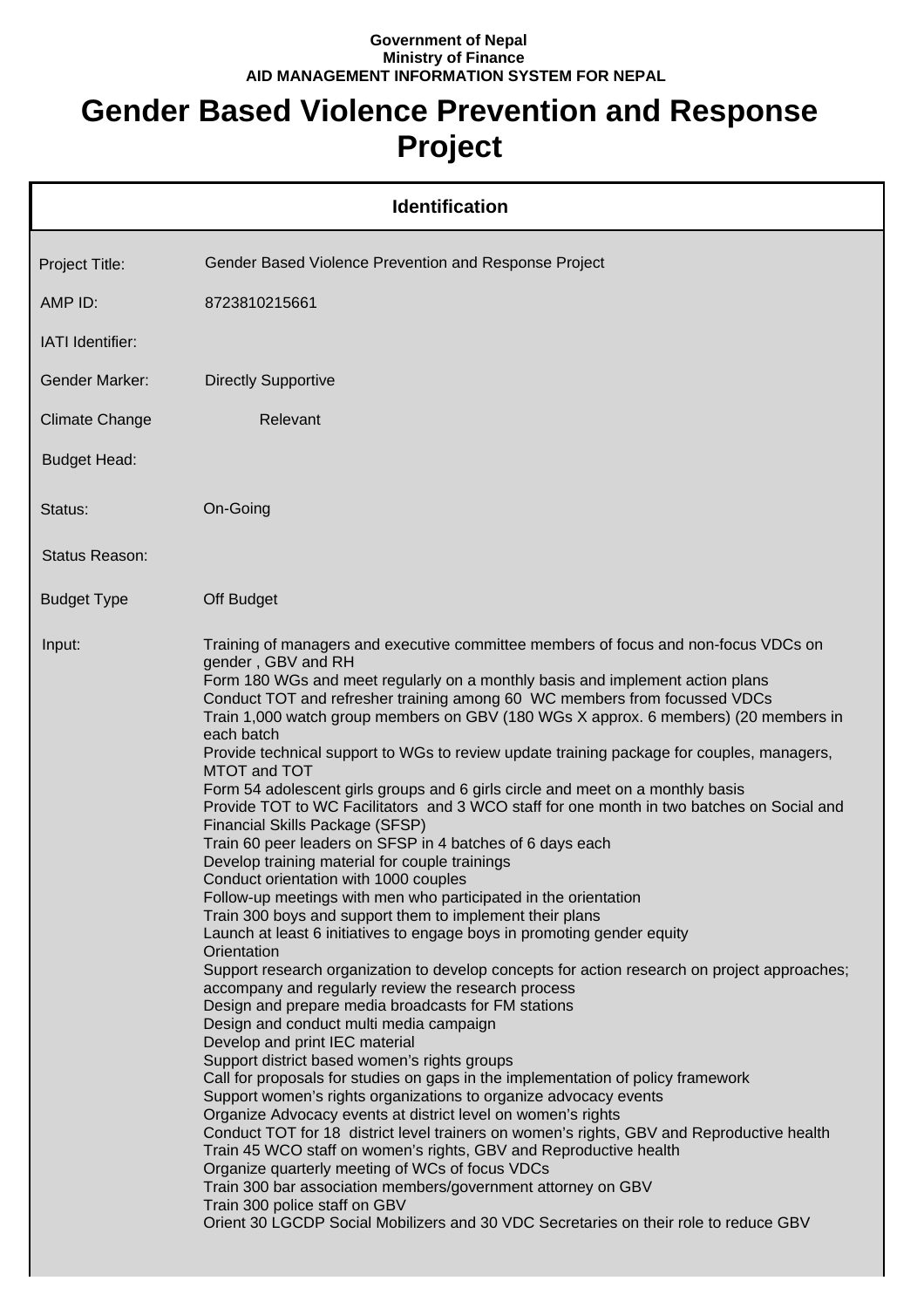## **Government of Nepal Ministry of Finance AID MANAGEMENT INFORMATION SYSTEM FOR NEPAL**

## **Gender Based Violence Prevention and Response Project**

|                       | <b>Identification</b>                                                                                                                                                                                                                                                                                                                                                                                                                                                                                                                                                                                                                                                                                                                                                                                                                                                                                                                                                                                                                                                                                                                                                                                                                                                                                                                                                                                                                                                                                                                                                                                                                                                                                                                                                                                                                                                                                                                                                                                                                                                         |
|-----------------------|-------------------------------------------------------------------------------------------------------------------------------------------------------------------------------------------------------------------------------------------------------------------------------------------------------------------------------------------------------------------------------------------------------------------------------------------------------------------------------------------------------------------------------------------------------------------------------------------------------------------------------------------------------------------------------------------------------------------------------------------------------------------------------------------------------------------------------------------------------------------------------------------------------------------------------------------------------------------------------------------------------------------------------------------------------------------------------------------------------------------------------------------------------------------------------------------------------------------------------------------------------------------------------------------------------------------------------------------------------------------------------------------------------------------------------------------------------------------------------------------------------------------------------------------------------------------------------------------------------------------------------------------------------------------------------------------------------------------------------------------------------------------------------------------------------------------------------------------------------------------------------------------------------------------------------------------------------------------------------------------------------------------------------------------------------------------------------|
| Project Title:        | Gender Based Violence Prevention and Response Project                                                                                                                                                                                                                                                                                                                                                                                                                                                                                                                                                                                                                                                                                                                                                                                                                                                                                                                                                                                                                                                                                                                                                                                                                                                                                                                                                                                                                                                                                                                                                                                                                                                                                                                                                                                                                                                                                                                                                                                                                         |
| AMP ID:               | 8723810215661                                                                                                                                                                                                                                                                                                                                                                                                                                                                                                                                                                                                                                                                                                                                                                                                                                                                                                                                                                                                                                                                                                                                                                                                                                                                                                                                                                                                                                                                                                                                                                                                                                                                                                                                                                                                                                                                                                                                                                                                                                                                 |
| IATI Identifier:      |                                                                                                                                                                                                                                                                                                                                                                                                                                                                                                                                                                                                                                                                                                                                                                                                                                                                                                                                                                                                                                                                                                                                                                                                                                                                                                                                                                                                                                                                                                                                                                                                                                                                                                                                                                                                                                                                                                                                                                                                                                                                               |
| <b>Gender Marker:</b> | <b>Directly Supportive</b>                                                                                                                                                                                                                                                                                                                                                                                                                                                                                                                                                                                                                                                                                                                                                                                                                                                                                                                                                                                                                                                                                                                                                                                                                                                                                                                                                                                                                                                                                                                                                                                                                                                                                                                                                                                                                                                                                                                                                                                                                                                    |
| <b>Climate Change</b> | Relevant                                                                                                                                                                                                                                                                                                                                                                                                                                                                                                                                                                                                                                                                                                                                                                                                                                                                                                                                                                                                                                                                                                                                                                                                                                                                                                                                                                                                                                                                                                                                                                                                                                                                                                                                                                                                                                                                                                                                                                                                                                                                      |
| <b>Budget Head:</b>   |                                                                                                                                                                                                                                                                                                                                                                                                                                                                                                                                                                                                                                                                                                                                                                                                                                                                                                                                                                                                                                                                                                                                                                                                                                                                                                                                                                                                                                                                                                                                                                                                                                                                                                                                                                                                                                                                                                                                                                                                                                                                               |
| Status:               | On-Going                                                                                                                                                                                                                                                                                                                                                                                                                                                                                                                                                                                                                                                                                                                                                                                                                                                                                                                                                                                                                                                                                                                                                                                                                                                                                                                                                                                                                                                                                                                                                                                                                                                                                                                                                                                                                                                                                                                                                                                                                                                                      |
| Status Reason:        |                                                                                                                                                                                                                                                                                                                                                                                                                                                                                                                                                                                                                                                                                                                                                                                                                                                                                                                                                                                                                                                                                                                                                                                                                                                                                                                                                                                                                                                                                                                                                                                                                                                                                                                                                                                                                                                                                                                                                                                                                                                                               |
| <b>Budget Type</b>    | Off Budget                                                                                                                                                                                                                                                                                                                                                                                                                                                                                                                                                                                                                                                                                                                                                                                                                                                                                                                                                                                                                                                                                                                                                                                                                                                                                                                                                                                                                                                                                                                                                                                                                                                                                                                                                                                                                                                                                                                                                                                                                                                                    |
| Input:                | Training of managers and executive committee members of focus and non-focus VDCs on<br>gender, GBV and RH<br>Form 180 WGs and meet regularly on a monthly basis and implement action plans<br>Conduct TOT and refresher training among 60 WC members from focussed VDCs<br>Train 1,000 watch group members on GBV (180 WGs X approx. 6 members) (20 members in<br>each batch<br>Provide technical support to WGs to review update training package for couples, managers,<br>MTOT and TOT<br>Form 54 adolescent girls groups and 6 girls circle and meet on a monthly basis<br>Provide TOT to WC Facilitators and 3 WCO staff for one month in two batches on Social and<br>Financial Skills Package (SFSP)<br>Train 60 peer leaders on SFSP in 4 batches of 6 days each<br>Develop training material for couple trainings<br>Conduct orientation with 1000 couples<br>Follow-up meetings with men who participated in the orientation<br>Train 300 boys and support them to implement their plans<br>Launch at least 6 initiatives to engage boys in promoting gender equity<br>Orientation<br>Support research organization to develop concepts for action research on project approaches;<br>accompany and regularly review the research process<br>Design and prepare media broadcasts for FM stations<br>Design and conduct multi media campaign<br>Develop and print IEC material<br>Support district based women's rights groups<br>Call for proposals for studies on gaps in the implementation of policy framework<br>Support women's rights organizations to organize advocacy events<br>Organize Advocacy events at district level on women's rights<br>Conduct TOT for 18 district level trainers on women's rights, GBV and Reproductive health<br>Train 45 WCO staff on women's rights, GBV and Reproductive health<br>Organize quarterly meeting of WCs of focus VDCs<br>Train 300 bar association members/government attorney on GBV<br>Train 300 police staff on GBV<br>Orient 30 LGCDP Social Mobilizers and 30 VDC Secretaries on their role to reduce GBV |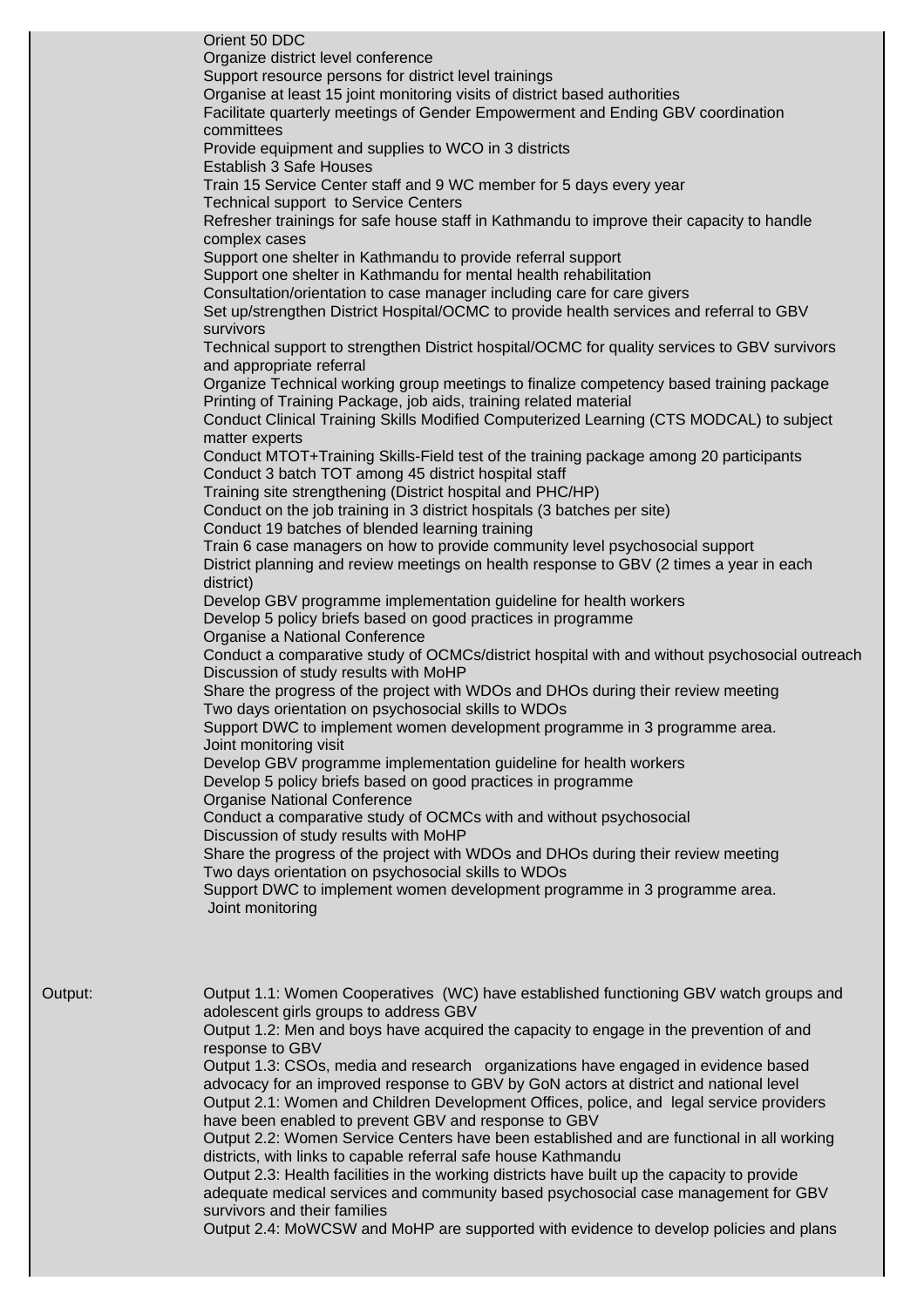|         | Orient 50 DDC<br>Organize district level conference<br>Support resource persons for district level trainings<br>Organise at least 15 joint monitoring visits of district based authorities<br>Facilitate quarterly meetings of Gender Empowerment and Ending GBV coordination<br>committees<br>Provide equipment and supplies to WCO in 3 districts<br><b>Establish 3 Safe Houses</b><br>Train 15 Service Center staff and 9 WC member for 5 days every year<br><b>Technical support to Service Centers</b><br>Refresher trainings for safe house staff in Kathmandu to improve their capacity to handle |
|---------|----------------------------------------------------------------------------------------------------------------------------------------------------------------------------------------------------------------------------------------------------------------------------------------------------------------------------------------------------------------------------------------------------------------------------------------------------------------------------------------------------------------------------------------------------------------------------------------------------------|
|         | complex cases<br>Support one shelter in Kathmandu to provide referral support<br>Support one shelter in Kathmandu for mental health rehabilitation<br>Consultation/orientation to case manager including care for care givers<br>Set up/strengthen District Hospital/OCMC to provide health services and referral to GBV<br>survivors                                                                                                                                                                                                                                                                    |
|         | Technical support to strengthen District hospital/OCMC for quality services to GBV survivors<br>and appropriate referral<br>Organize Technical working group meetings to finalize competency based training package<br>Printing of Training Package, job aids, training related material<br>Conduct Clinical Training Skills Modified Computerized Learning (CTS MODCAL) to subject<br>matter experts                                                                                                                                                                                                    |
|         | Conduct MTOT+Training Skills-Field test of the training package among 20 participants<br>Conduct 3 batch TOT among 45 district hospital staff<br>Training site strengthening (District hospital and PHC/HP)<br>Conduct on the job training in 3 district hospitals (3 batches per site)<br>Conduct 19 batches of blended learning training                                                                                                                                                                                                                                                               |
|         | Train 6 case managers on how to provide community level psychosocial support<br>District planning and review meetings on health response to GBV (2 times a year in each<br>district)<br>Develop GBV programme implementation guideline for health workers<br>Develop 5 policy briefs based on good practices in programme<br>Organise a National Conference                                                                                                                                                                                                                                              |
|         | Conduct a comparative study of OCMCs/district hospital with and without psychosocial outreach<br>Discussion of study results with MoHP<br>Share the progress of the project with WDOs and DHOs during their review meeting<br>Two days orientation on psychosocial skills to WDOs<br>Support DWC to implement women development programme in 3 programme area.<br>Joint monitoring visit                                                                                                                                                                                                                 |
|         | Develop GBV programme implementation guideline for health workers<br>Develop 5 policy briefs based on good practices in programme<br><b>Organise National Conference</b><br>Conduct a comparative study of OCMCs with and without psychosocial<br>Discussion of study results with MoHP<br>Share the progress of the project with WDOs and DHOs during their review meeting                                                                                                                                                                                                                              |
|         | Two days orientation on psychosocial skills to WDOs<br>Support DWC to implement women development programme in 3 programme area.<br>Joint monitoring                                                                                                                                                                                                                                                                                                                                                                                                                                                     |
| Output: | Output 1.1: Women Cooperatives (WC) have established functioning GBV watch groups and<br>adolescent girls groups to address GBV<br>Output 1.2: Men and boys have acquired the capacity to engage in the prevention of and                                                                                                                                                                                                                                                                                                                                                                                |
|         | response to GBV<br>Output 1.3: CSOs, media and research organizations have engaged in evidence based<br>advocacy for an improved response to GBV by GoN actors at district and national level<br>Output 2.1: Women and Children Development Offices, police, and legal service providers<br>have been enabled to prevent GBV and response to GBV                                                                                                                                                                                                                                                         |
|         | Output 2.2: Women Service Centers have been established and are functional in all working<br>districts, with links to capable referral safe house Kathmandu<br>Output 2.3: Health facilities in the working districts have built up the capacity to provide<br>adequate medical services and community based psychosocial case management for GBV<br>survivors and their families                                                                                                                                                                                                                        |
|         | Output 2.4: MoWCSW and MoHP are supported with evidence to develop policies and plans                                                                                                                                                                                                                                                                                                                                                                                                                                                                                                                    |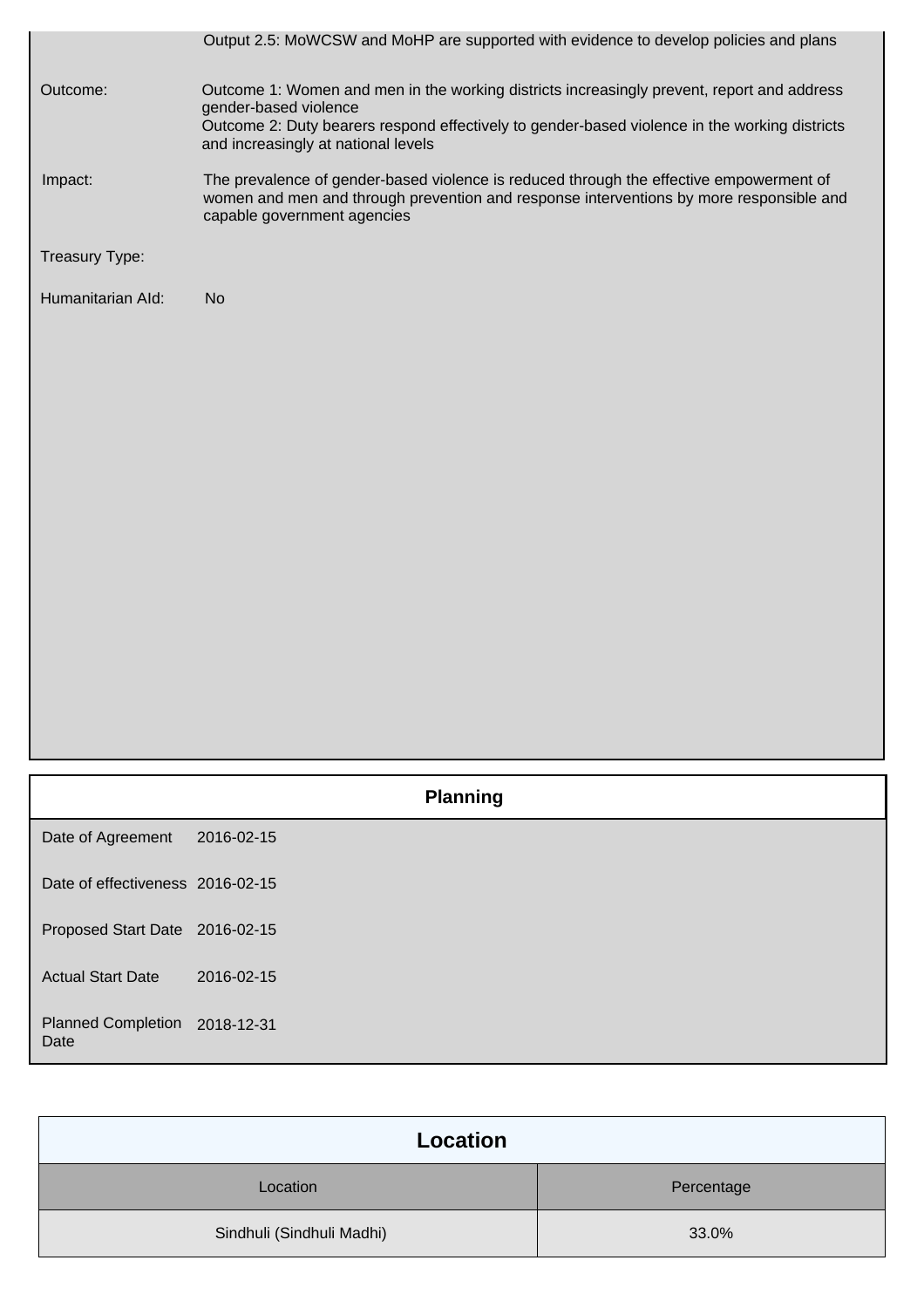|                   | Output 2.5: MoWCSW and MoHP are supported with evidence to develop policies and plans                                                                                                                             |
|-------------------|-------------------------------------------------------------------------------------------------------------------------------------------------------------------------------------------------------------------|
| Outcome:          | Outcome 1: Women and men in the working districts increasingly prevent, report and address<br>gender-based violence                                                                                               |
|                   | Outcome 2: Duty bearers respond effectively to gender-based violence in the working districts<br>and increasingly at national levels                                                                              |
| Impact:           | The prevalence of gender-based violence is reduced through the effective empowerment of<br>women and men and through prevention and response interventions by more responsible and<br>capable government agencies |
| Treasury Type:    |                                                                                                                                                                                                                   |
| Humanitarian Ald: | N <sub>o</sub>                                                                                                                                                                                                    |
|                   |                                                                                                                                                                                                                   |
|                   |                                                                                                                                                                                                                   |
|                   |                                                                                                                                                                                                                   |

|                                       | <b>Planning</b> |  |
|---------------------------------------|-----------------|--|
| Date of Agreement                     | 2016-02-15      |  |
| Date of effectiveness 2016-02-15      |                 |  |
| Proposed Start Date 2016-02-15        |                 |  |
| <b>Actual Start Date</b>              | 2016-02-15      |  |
| Planned Completion 2018-12-31<br>Date |                 |  |

| Location                  |            |
|---------------------------|------------|
| Location                  | Percentage |
| Sindhuli (Sindhuli Madhi) | 33.0%      |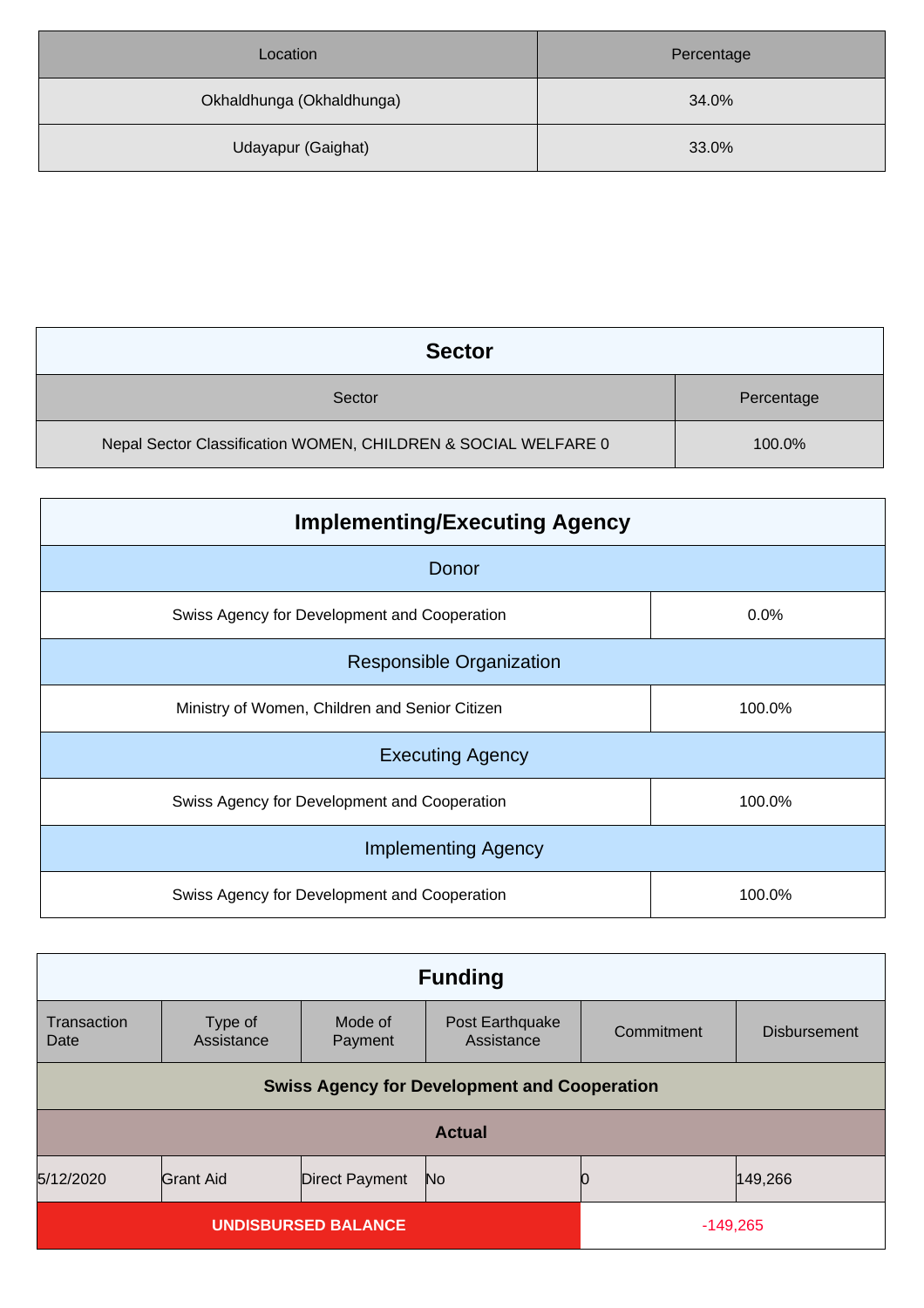| Location                  | Percentage |
|---------------------------|------------|
| Okhaldhunga (Okhaldhunga) | 34.0%      |
| Udayapur (Gaighat)        | 33.0%      |

| <b>Sector</b>                                                  |            |
|----------------------------------------------------------------|------------|
| Sector                                                         | Percentage |
| Nepal Sector Classification WOMEN, CHILDREN & SOCIAL WELFARE 0 | 100.0%     |

| <b>Implementing/Executing Agency</b>           |        |  |
|------------------------------------------------|--------|--|
| Donor                                          |        |  |
| Swiss Agency for Development and Cooperation   | 0.0%   |  |
| <b>Responsible Organization</b>                |        |  |
| Ministry of Women, Children and Senior Citizen | 100.0% |  |
| <b>Executing Agency</b>                        |        |  |
| Swiss Agency for Development and Cooperation   | 100.0% |  |
| <b>Implementing Agency</b>                     |        |  |
| Swiss Agency for Development and Cooperation   | 100.0% |  |

| <b>Funding</b>                                                   |                       |                    |                               |            |                     |
|------------------------------------------------------------------|-----------------------|--------------------|-------------------------------|------------|---------------------|
| Transaction<br>Date                                              | Type of<br>Assistance | Mode of<br>Payment | Post Earthquake<br>Assistance | Commitment | <b>Disbursement</b> |
| <b>Swiss Agency for Development and Cooperation</b>              |                       |                    |                               |            |                     |
| <b>Actual</b>                                                    |                       |                    |                               |            |                     |
| 5/12/2020<br>149,266<br>Grant Aid<br>No<br><b>Direct Payment</b> |                       |                    |                               |            |                     |
| <b>UNDISBURSED BALANCE</b>                                       |                       |                    | $-149,265$                    |            |                     |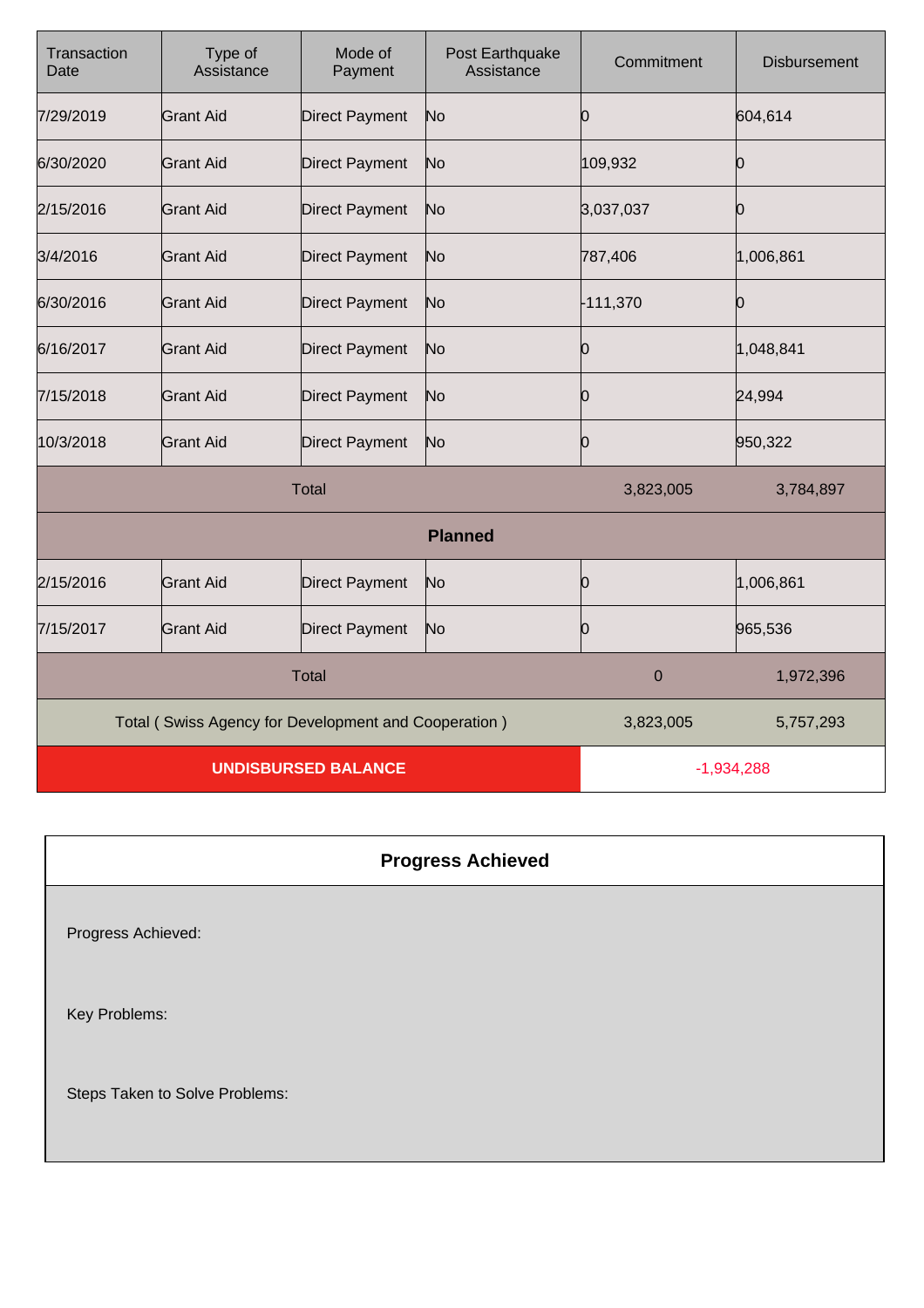| Transaction<br>Date                                  | Type of<br>Assistance | Mode of<br>Payment    | Post Earthquake<br>Assistance | Commitment | <b>Disbursement</b> |
|------------------------------------------------------|-----------------------|-----------------------|-------------------------------|------------|---------------------|
| 7/29/2019                                            | Grant Aid             | <b>Direct Payment</b> | No                            | Ю          | 604,614             |
| 6/30/2020                                            | <b>Grant Aid</b>      | <b>Direct Payment</b> | No                            | 109,932    | Ю                   |
| 2/15/2016                                            | <b>Grant Aid</b>      | <b>Direct Payment</b> | No                            | 3,037,037  | Ю                   |
| 3/4/2016                                             | <b>Grant Aid</b>      | <b>Direct Payment</b> | No                            | 787,406    | 1,006,861           |
| 6/30/2016                                            | <b>Grant Aid</b>      | <b>Direct Payment</b> | No                            | $-111,370$ | Ю                   |
| 6/16/2017                                            | <b>Grant Aid</b>      | <b>Direct Payment</b> | No                            | 0          | 1,048,841           |
| 7/15/2018                                            | <b>Grant Aid</b>      | <b>Direct Payment</b> | No                            | 0          | 24,994              |
| 10/3/2018                                            | <b>Grant Aid</b>      | <b>Direct Payment</b> | No                            | 0          | 950,322             |
| <b>Total</b>                                         |                       |                       | 3,823,005                     | 3,784,897  |                     |
| <b>Planned</b>                                       |                       |                       |                               |            |                     |
| 2/15/2016                                            | <b>Grant Aid</b>      | <b>Direct Payment</b> | No                            | 0          | 1,006,861           |
| 7/15/2017                                            | <b>Grant Aid</b>      | <b>Direct Payment</b> | No                            | 0          | 965,536             |
| <b>Total</b>                                         |                       |                       | $\mathbf 0$                   | 1,972,396  |                     |
| Total (Swiss Agency for Development and Cooperation) |                       |                       | 3,823,005                     | 5,757,293  |                     |
| <b>UNDISBURSED BALANCE</b>                           |                       |                       | $-1,934,288$                  |            |                     |

| <b>Progress Achieved</b>       |
|--------------------------------|
| Progress Achieved:             |
| Key Problems:                  |
| Steps Taken to Solve Problems: |